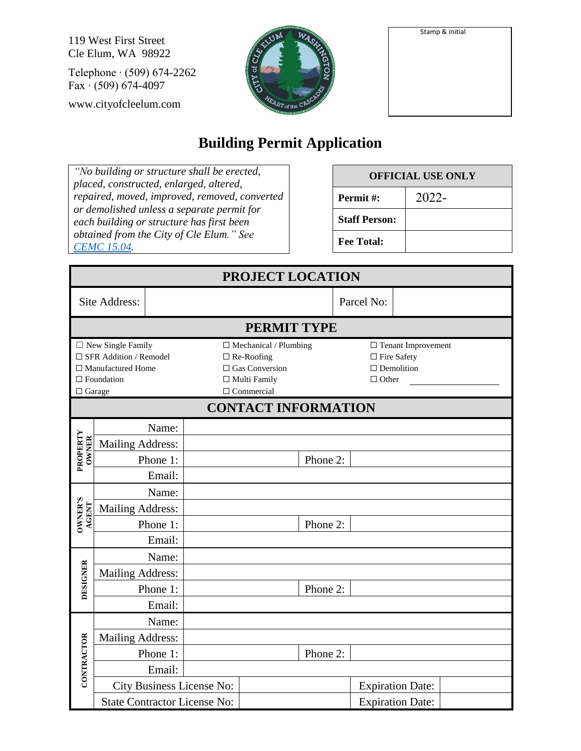Stamp & initial

119 West First Street Cle Elum, WA 98922

Telephone ∙ (509) 674-2262 Fax ∙ (509) 674-4097

www.cityofcleelum.com



| Stamp & initial |
|-----------------|
|                 |
|                 |
|                 |
|                 |
|                 |
|                 |
|                 |
|                 |
|                 |
|                 |

## **Building Permit Application**

*"No building or structure shall be erected, placed, constructed, enlarged, altered, repaired, moved, improved, removed, converted or demolished unless a separate permit for each building or structure has first been obtained from the City of Cle Elum." See [CEMC 15.04.](https://cleelum.municipal.codes/CEMC/15.04)*

| <b>OFFICIAL USE ONLY</b> |          |  |  |  |
|--------------------------|----------|--|--|--|
| Permit#:                 | $2022 -$ |  |  |  |
| <b>Staff Person:</b>     |          |  |  |  |
| <b>Fee Total:</b>        |          |  |  |  |

| PROJECT LOCATION                                                                                                                  |                         |                                                                                                                        |                           |                                                                                         |          |  |  |                         |  |
|-----------------------------------------------------------------------------------------------------------------------------------|-------------------------|------------------------------------------------------------------------------------------------------------------------|---------------------------|-----------------------------------------------------------------------------------------|----------|--|--|-------------------------|--|
| Site Address:                                                                                                                     |                         |                                                                                                                        |                           | Parcel No:                                                                              |          |  |  |                         |  |
|                                                                                                                                   | <b>PERMIT TYPE</b>      |                                                                                                                        |                           |                                                                                         |          |  |  |                         |  |
| $\Box$<br>New Single Family<br>$\square$ SFR Addition / Remodel<br>$\Box$ Manufactured Home<br>$\Box$ Foundation<br>$\Box$ Garage |                         | $\Box$ Mechanical / Plumbing<br>$\Box$ Re-Roofing<br>$\Box$ Gas Conversion<br>$\Box$ Multi Family<br>$\Box$ Commercial |                           | $\Box$ Tenant Improvement<br>$\Box$<br>Fire Safety<br>$\Box$ Demolition<br>$\Box$ Other |          |  |  |                         |  |
| <b>CONTACT INFORMATION</b>                                                                                                        |                         |                                                                                                                        |                           |                                                                                         |          |  |  |                         |  |
|                                                                                                                                   | <b>Mailing Address:</b> | Name:                                                                                                                  |                           |                                                                                         |          |  |  |                         |  |
| PROPERTY<br><b>OWNER</b>                                                                                                          |                         | Phone 1:                                                                                                               |                           |                                                                                         | Phone 2: |  |  |                         |  |
|                                                                                                                                   |                         | Email:                                                                                                                 |                           |                                                                                         |          |  |  |                         |  |
|                                                                                                                                   |                         | Name:                                                                                                                  |                           |                                                                                         |          |  |  |                         |  |
| <b>OWNER'S</b>                                                                                                                    | <b>Mailing Address:</b> |                                                                                                                        |                           |                                                                                         |          |  |  |                         |  |
| AGENT                                                                                                                             |                         | Phone 1:                                                                                                               |                           |                                                                                         | Phone 2: |  |  |                         |  |
|                                                                                                                                   |                         | Email:                                                                                                                 |                           |                                                                                         |          |  |  |                         |  |
|                                                                                                                                   |                         | Name:                                                                                                                  |                           |                                                                                         |          |  |  |                         |  |
| DESIGNER                                                                                                                          | <b>Mailing Address:</b> |                                                                                                                        |                           |                                                                                         |          |  |  |                         |  |
|                                                                                                                                   |                         | Phone 1:                                                                                                               |                           |                                                                                         | Phone 2: |  |  |                         |  |
|                                                                                                                                   |                         | Email:                                                                                                                 |                           |                                                                                         |          |  |  |                         |  |
|                                                                                                                                   |                         | Name:                                                                                                                  |                           |                                                                                         |          |  |  |                         |  |
|                                                                                                                                   | <b>Mailing Address:</b> |                                                                                                                        |                           |                                                                                         |          |  |  |                         |  |
|                                                                                                                                   |                         | Phone 1:                                                                                                               |                           |                                                                                         | Phone 2: |  |  |                         |  |
| CONTRACTOR                                                                                                                        |                         | Email:                                                                                                                 |                           |                                                                                         |          |  |  |                         |  |
|                                                                                                                                   |                         |                                                                                                                        | City Business License No: |                                                                                         |          |  |  | <b>Expiration Date:</b> |  |
|                                                                                                                                   |                         | <b>State Contractor License No:</b>                                                                                    |                           |                                                                                         |          |  |  | <b>Expiration Date:</b> |  |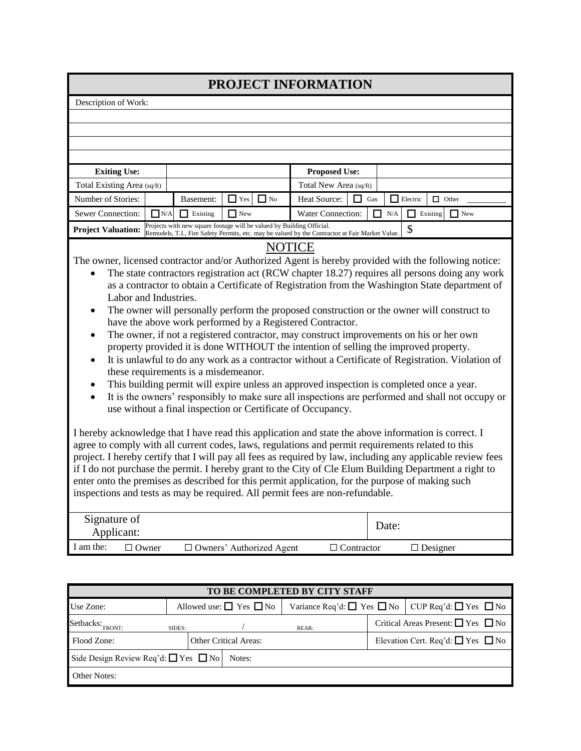## **PROJECT INFORMATION**

Description of Work:

| Description of work:                                                                                                                                                                                                                                                                                                                                                                                                                                                                                                                                                                                                                                                                                                                                                                                                                                                                                                                                                                                                                                                                                                                                                                                                                                                                                                                                                                                                                                                                                                                                                                                                                                                                                                     |                                                                                                                                                                          |                               |                          |  |  |  |  |
|--------------------------------------------------------------------------------------------------------------------------------------------------------------------------------------------------------------------------------------------------------------------------------------------------------------------------------------------------------------------------------------------------------------------------------------------------------------------------------------------------------------------------------------------------------------------------------------------------------------------------------------------------------------------------------------------------------------------------------------------------------------------------------------------------------------------------------------------------------------------------------------------------------------------------------------------------------------------------------------------------------------------------------------------------------------------------------------------------------------------------------------------------------------------------------------------------------------------------------------------------------------------------------------------------------------------------------------------------------------------------------------------------------------------------------------------------------------------------------------------------------------------------------------------------------------------------------------------------------------------------------------------------------------------------------------------------------------------------|--------------------------------------------------------------------------------------------------------------------------------------------------------------------------|-------------------------------|--------------------------|--|--|--|--|
|                                                                                                                                                                                                                                                                                                                                                                                                                                                                                                                                                                                                                                                                                                                                                                                                                                                                                                                                                                                                                                                                                                                                                                                                                                                                                                                                                                                                                                                                                                                                                                                                                                                                                                                          |                                                                                                                                                                          |                               |                          |  |  |  |  |
|                                                                                                                                                                                                                                                                                                                                                                                                                                                                                                                                                                                                                                                                                                                                                                                                                                                                                                                                                                                                                                                                                                                                                                                                                                                                                                                                                                                                                                                                                                                                                                                                                                                                                                                          |                                                                                                                                                                          |                               |                          |  |  |  |  |
|                                                                                                                                                                                                                                                                                                                                                                                                                                                                                                                                                                                                                                                                                                                                                                                                                                                                                                                                                                                                                                                                                                                                                                                                                                                                                                                                                                                                                                                                                                                                                                                                                                                                                                                          |                                                                                                                                                                          |                               |                          |  |  |  |  |
|                                                                                                                                                                                                                                                                                                                                                                                                                                                                                                                                                                                                                                                                                                                                                                                                                                                                                                                                                                                                                                                                                                                                                                                                                                                                                                                                                                                                                                                                                                                                                                                                                                                                                                                          |                                                                                                                                                                          |                               |                          |  |  |  |  |
| <b>Exiting Use:</b>                                                                                                                                                                                                                                                                                                                                                                                                                                                                                                                                                                                                                                                                                                                                                                                                                                                                                                                                                                                                                                                                                                                                                                                                                                                                                                                                                                                                                                                                                                                                                                                                                                                                                                      |                                                                                                                                                                          | <b>Proposed Use:</b>          |                          |  |  |  |  |
| Total Existing Area (sq/ft)                                                                                                                                                                                                                                                                                                                                                                                                                                                                                                                                                                                                                                                                                                                                                                                                                                                                                                                                                                                                                                                                                                                                                                                                                                                                                                                                                                                                                                                                                                                                                                                                                                                                                              |                                                                                                                                                                          | Total New Area (sq/ft)        |                          |  |  |  |  |
| Number of Stories:                                                                                                                                                                                                                                                                                                                                                                                                                                                                                                                                                                                                                                                                                                                                                                                                                                                                                                                                                                                                                                                                                                                                                                                                                                                                                                                                                                                                                                                                                                                                                                                                                                                                                                       | $\Box$ Yes<br>$\Box$ No<br>Basement:                                                                                                                                     | Heat Source:<br>П<br>Gas      | Electric<br>$\Box$ Other |  |  |  |  |
| Sewer Connection:<br>N/A                                                                                                                                                                                                                                                                                                                                                                                                                                                                                                                                                                                                                                                                                                                                                                                                                                                                                                                                                                                                                                                                                                                                                                                                                                                                                                                                                                                                                                                                                                                                                                                                                                                                                                 | Water Connection:<br>П                                                                                                                                                   | N/A<br>$\Box$ Existing<br>New |                          |  |  |  |  |
| <b>Project Valuation:</b>                                                                                                                                                                                                                                                                                                                                                                                                                                                                                                                                                                                                                                                                                                                                                                                                                                                                                                                                                                                                                                                                                                                                                                                                                                                                                                                                                                                                                                                                                                                                                                                                                                                                                                | Projects with new square footage will be valued by Building Official.<br>Remodels, T.I., Fire Safety Permits, etc. may be valued by the Contractor at Fair Market Value. |                               | \$                       |  |  |  |  |
|                                                                                                                                                                                                                                                                                                                                                                                                                                                                                                                                                                                                                                                                                                                                                                                                                                                                                                                                                                                                                                                                                                                                                                                                                                                                                                                                                                                                                                                                                                                                                                                                                                                                                                                          |                                                                                                                                                                          |                               |                          |  |  |  |  |
| <b>NOTICE</b><br>The owner, licensed contractor and/or Authorized Agent is hereby provided with the following notice:<br>The state contractors registration act (RCW chapter 18.27) requires all persons doing any work<br>as a contractor to obtain a Certificate of Registration from the Washington State department of<br>Labor and Industries.<br>The owner will personally perform the proposed construction or the owner will construct to<br>$\bullet$<br>have the above work performed by a Registered Contractor.<br>The owner, if not a registered contractor, may construct improvements on his or her own<br>$\bullet$<br>property provided it is done WITHOUT the intention of selling the improved property.<br>It is unlawful to do any work as a contractor without a Certificate of Registration. Violation of<br>$\bullet$<br>these requirements is a misdemeanor.<br>This building permit will expire unless an approved inspection is completed once a year.<br>$\bullet$<br>It is the owners' responsibly to make sure all inspections are performed and shall not occupy or<br>$\bullet$<br>use without a final inspection or Certificate of Occupancy.<br>I hereby acknowledge that I have read this application and state the above information is correct. I<br>agree to comply with all current codes, laws, regulations and permit requirements related to this<br>project. I hereby certify that I will pay all fees as required by law, including any applicable review fees<br>if I do not purchase the permit. I hereby grant to the City of Cle Elum Building Department a right to<br>enter onto the premises as described for this permit application, for the purpose of making such |                                                                                                                                                                          |                               |                          |  |  |  |  |
| inspections and tests as may be required. All permit fees are non-refundable.<br>Signature of                                                                                                                                                                                                                                                                                                                                                                                                                                                                                                                                                                                                                                                                                                                                                                                                                                                                                                                                                                                                                                                                                                                                                                                                                                                                                                                                                                                                                                                                                                                                                                                                                            |                                                                                                                                                                          |                               |                          |  |  |  |  |
| Applicant:                                                                                                                                                                                                                                                                                                                                                                                                                                                                                                                                                                                                                                                                                                                                                                                                                                                                                                                                                                                                                                                                                                                                                                                                                                                                                                                                                                                                                                                                                                                                                                                                                                                                                                               |                                                                                                                                                                          |                               | Date:                    |  |  |  |  |
| I am the:<br>$\Box$ Owner                                                                                                                                                                                                                                                                                                                                                                                                                                                                                                                                                                                                                                                                                                                                                                                                                                                                                                                                                                                                                                                                                                                                                                                                                                                                                                                                                                                                                                                                                                                                                                                                                                                                                                | □ Owners' Authorized Agent                                                                                                                                               | $\Box$ Contractor             | $\Box$ Designer          |  |  |  |  |
|                                                                                                                                                                                                                                                                                                                                                                                                                                                                                                                                                                                                                                                                                                                                                                                                                                                                                                                                                                                                                                                                                                                                                                                                                                                                                                                                                                                                                                                                                                                                                                                                                                                                                                                          |                                                                                                                                                                          |                               |                          |  |  |  |  |
| TO BE COMPLETED BY CITY STAFF                                                                                                                                                                                                                                                                                                                                                                                                                                                                                                                                                                                                                                                                                                                                                                                                                                                                                                                                                                                                                                                                                                                                                                                                                                                                                                                                                                                                                                                                                                                                                                                                                                                                                            |                                                                                                                                                                          |                               |                          |  |  |  |  |
|                                                                                                                                                                                                                                                                                                                                                                                                                                                                                                                                                                                                                                                                                                                                                                                                                                                                                                                                                                                                                                                                                                                                                                                                                                                                                                                                                                                                                                                                                                                                                                                                                                                                                                                          |                                                                                                                                                                          |                               |                          |  |  |  |  |

| Use Zone:                                             |        | Allowed use: $\Box$ Yes $\Box$ No | Variance Req'd: $\Box$ Yes $\Box$ No CUP Req'd: $\Box$ Yes $\Box$ No |                                             |                                              |  |  |
|-------------------------------------------------------|--------|-----------------------------------|----------------------------------------------------------------------|---------------------------------------------|----------------------------------------------|--|--|
| Setbacks: FRONT:                                      | SIDES: |                                   | REAR:                                                                |                                             | Critical Areas Present: $\Box$ Yes $\Box$ No |  |  |
| Flood Zone:                                           |        | <b>Other Critical Areas:</b>      |                                                                      | Elevation Cert. Req'd: $\Box$ Yes $\Box$ No |                                              |  |  |
| Side Design Review Req'd: $\Box$ Yes $\Box$ No Notes: |        |                                   |                                                                      |                                             |                                              |  |  |
| <b>Other Notes:</b>                                   |        |                                   |                                                                      |                                             |                                              |  |  |